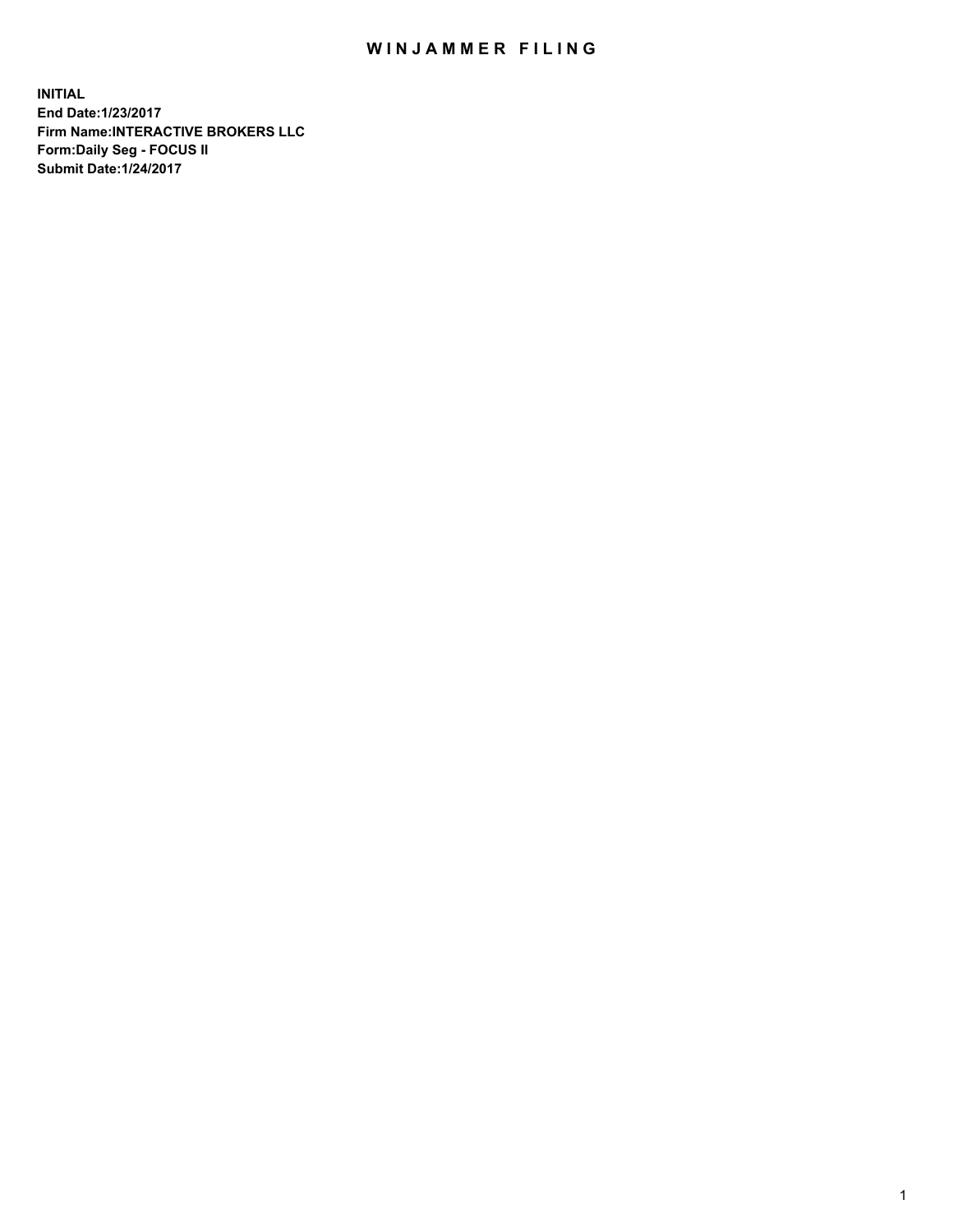## WIN JAMMER FILING

**INITIAL End Date:1/23/2017 Firm Name:INTERACTIVE BROKERS LLC Form:Daily Seg - FOCUS II Submit Date:1/24/2017**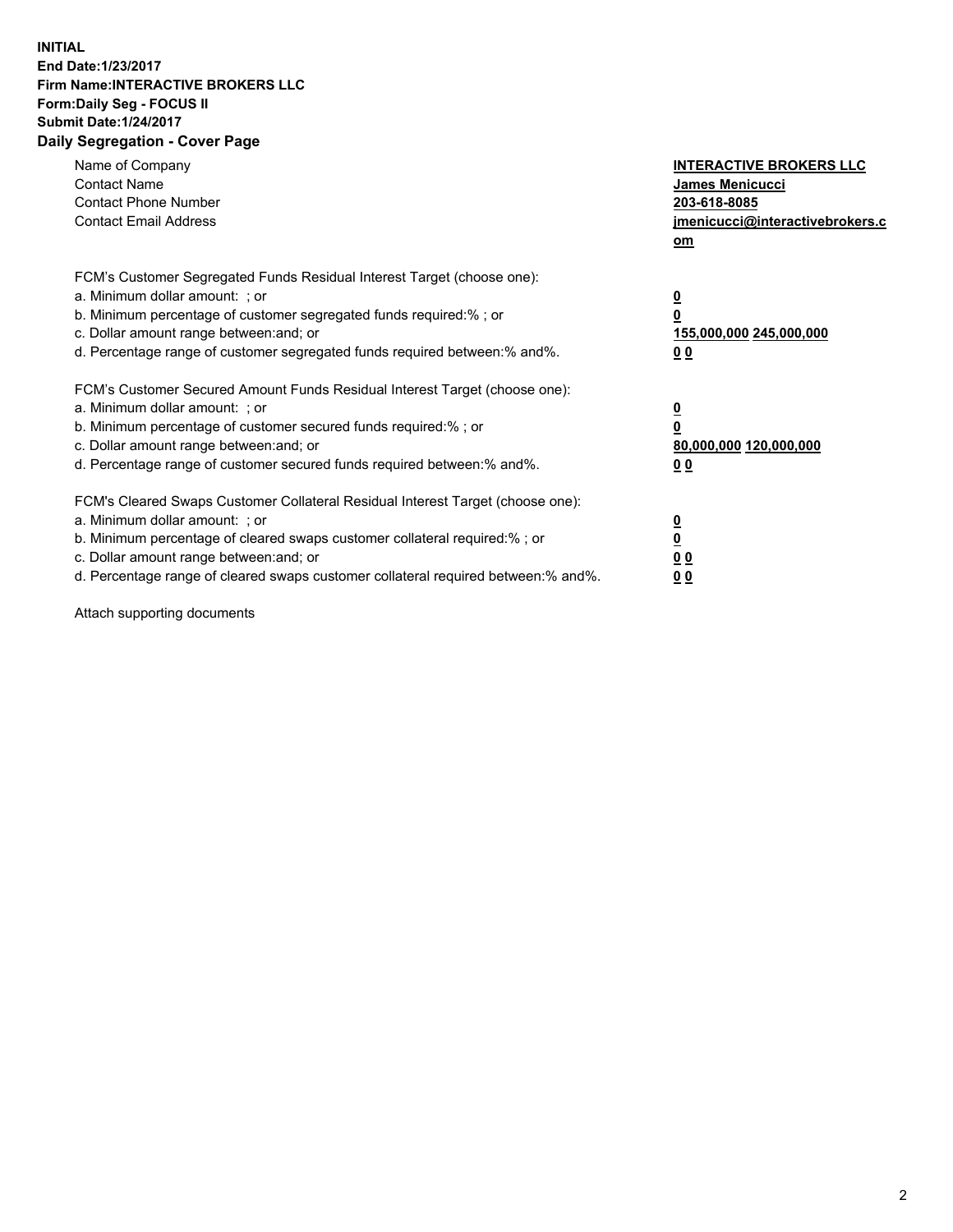## **INITIAL End Date:1/23/2017 Firm Name:INTERACTIVE BROKERS LLC Form:Daily Seg - FOCUS II Submit Date:1/24/2017 Daily Segregation - Cover Page**

| Name of Company<br><b>Contact Name</b><br><b>Contact Phone Number</b><br><b>Contact Email Address</b>                                                                                                                                                                                                                          | <b>INTERACTIVE BROKERS LLC</b><br><b>James Menicucci</b><br>203-618-8085<br>jmenicucci@interactivebrokers.c<br>om |
|--------------------------------------------------------------------------------------------------------------------------------------------------------------------------------------------------------------------------------------------------------------------------------------------------------------------------------|-------------------------------------------------------------------------------------------------------------------|
| FCM's Customer Segregated Funds Residual Interest Target (choose one):<br>a. Minimum dollar amount: ; or<br>b. Minimum percentage of customer segregated funds required:%; or<br>c. Dollar amount range between: and; or<br>d. Percentage range of customer segregated funds required between:% and%.                          | $\overline{\mathbf{0}}$<br>0<br>155,000,000 245,000,000<br>0 <sub>0</sub>                                         |
| FCM's Customer Secured Amount Funds Residual Interest Target (choose one):<br>a. Minimum dollar amount: ; or<br>b. Minimum percentage of customer secured funds required:%; or<br>c. Dollar amount range between: and; or<br>d. Percentage range of customer secured funds required between: % and %.                          | $\overline{\mathbf{0}}$<br>0<br>80,000,000 120,000,000<br>0 <sub>0</sub>                                          |
| FCM's Cleared Swaps Customer Collateral Residual Interest Target (choose one):<br>a. Minimum dollar amount: ; or<br>b. Minimum percentage of cleared swaps customer collateral required:% ; or<br>c. Dollar amount range between: and; or<br>d. Percentage range of cleared swaps customer collateral required between:% and%. | $\overline{\mathbf{0}}$<br>$\overline{\mathbf{0}}$<br>0 <sub>0</sub><br><u>00</u>                                 |

Attach supporting documents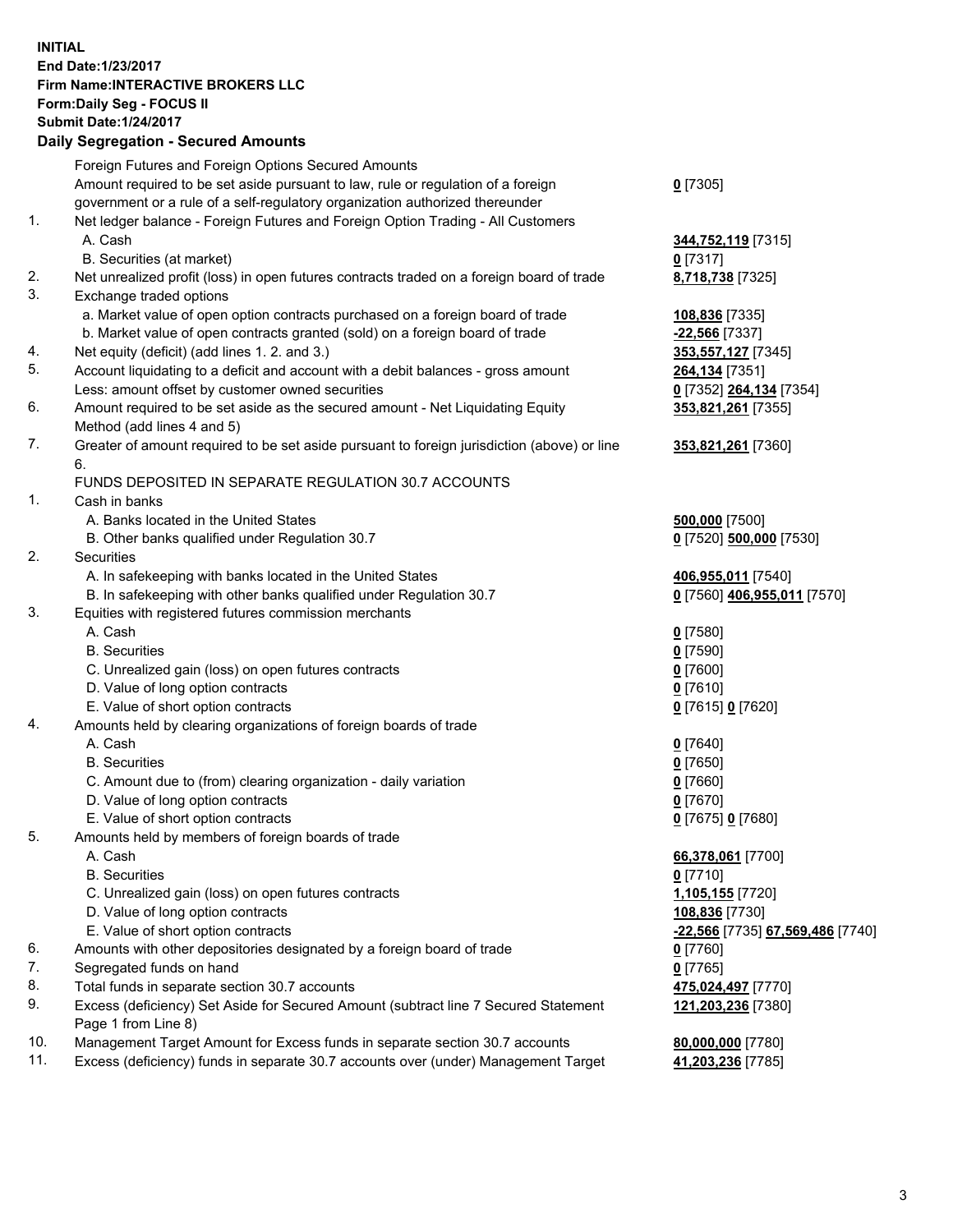## **INITIAL End Date:1/23/2017 Firm Name:INTERACTIVE BROKERS LLC Form:Daily Seg - FOCUS II Submit Date:1/24/2017**

## **Daily Segregation - Secured Amounts**

|     | Foreign Futures and Foreign Options Secured Amounts                                         |                                  |
|-----|---------------------------------------------------------------------------------------------|----------------------------------|
|     | Amount required to be set aside pursuant to law, rule or regulation of a foreign            | $0$ [7305]                       |
|     | government or a rule of a self-regulatory organization authorized thereunder                |                                  |
| 1.  | Net ledger balance - Foreign Futures and Foreign Option Trading - All Customers             |                                  |
|     | A. Cash                                                                                     | 344,752,119 [7315]               |
|     | B. Securities (at market)                                                                   | $0$ [7317]                       |
| 2.  | Net unrealized profit (loss) in open futures contracts traded on a foreign board of trade   | 8,718,738 [7325]                 |
| 3.  | Exchange traded options                                                                     |                                  |
|     | a. Market value of open option contracts purchased on a foreign board of trade              | 108,836 [7335]                   |
|     | b. Market value of open contracts granted (sold) on a foreign board of trade                | <u>-22,566</u> [7337]            |
| 4.  | Net equity (deficit) (add lines 1. 2. and 3.)                                               | 353,557,127 [7345]               |
| 5.  | Account liquidating to a deficit and account with a debit balances - gross amount           | 264,134 [7351]                   |
|     | Less: amount offset by customer owned securities                                            | 0 [7352] 264,134 [7354]          |
| 6.  | Amount required to be set aside as the secured amount - Net Liquidating Equity              | 353,821,261 [7355]               |
|     | Method (add lines 4 and 5)                                                                  |                                  |
| 7.  | Greater of amount required to be set aside pursuant to foreign jurisdiction (above) or line | 353,821,261 [7360]               |
|     | 6.                                                                                          |                                  |
|     | FUNDS DEPOSITED IN SEPARATE REGULATION 30.7 ACCOUNTS                                        |                                  |
| 1.  | Cash in banks                                                                               |                                  |
|     | A. Banks located in the United States                                                       | 500,000 [7500]                   |
|     | B. Other banks qualified under Regulation 30.7                                              | 0 [7520] 500,000 [7530]          |
| 2.  | Securities                                                                                  |                                  |
|     | A. In safekeeping with banks located in the United States                                   | 406,955,011 [7540]               |
|     | B. In safekeeping with other banks qualified under Regulation 30.7                          | 0 [7560] 406,955,011 [7570]      |
| 3.  | Equities with registered futures commission merchants                                       |                                  |
|     | A. Cash                                                                                     | $0$ [7580]                       |
|     | <b>B.</b> Securities                                                                        | $0$ [7590]                       |
|     |                                                                                             | $0$ [7600]                       |
|     | C. Unrealized gain (loss) on open futures contracts<br>D. Value of long option contracts    | $0$ [7610]                       |
|     | E. Value of short option contracts                                                          |                                  |
| 4.  |                                                                                             | 0 [7615] 0 [7620]                |
|     | Amounts held by clearing organizations of foreign boards of trade<br>A. Cash                |                                  |
|     | <b>B.</b> Securities                                                                        | $0$ [7640]                       |
|     |                                                                                             | $0$ [7650]                       |
|     | C. Amount due to (from) clearing organization - daily variation                             | $0$ [7660]                       |
|     | D. Value of long option contracts                                                           | $0$ [7670]                       |
|     | E. Value of short option contracts                                                          | 0 [7675] 0 [7680]                |
| 5.  | Amounts held by members of foreign boards of trade                                          |                                  |
|     | A. Cash                                                                                     | 66,378,061 [7700]                |
|     | <b>B.</b> Securities                                                                        | $0$ [7710]                       |
|     | C. Unrealized gain (loss) on open futures contracts                                         | 1,105,155 [7720]                 |
|     | D. Value of long option contracts                                                           | 108,836 [7730]                   |
|     | E. Value of short option contracts                                                          | -22,566 [7735] 67,569,486 [7740] |
| 6.  | Amounts with other depositories designated by a foreign board of trade                      | 0 [7760]                         |
| 7.  | Segregated funds on hand                                                                    | $0$ [7765]                       |
| 8.  | Total funds in separate section 30.7 accounts                                               | 475,024,497 [7770]               |
| 9.  | Excess (deficiency) Set Aside for Secured Amount (subtract line 7 Secured Statement         | 121,203,236 [7380]               |
|     | Page 1 from Line 8)                                                                         |                                  |
| 10. | Management Target Amount for Excess funds in separate section 30.7 accounts                 | 80,000,000 [7780]                |
| 11. | Excess (deficiency) funds in separate 30.7 accounts over (under) Management Target          | 41,203,236 [7785]                |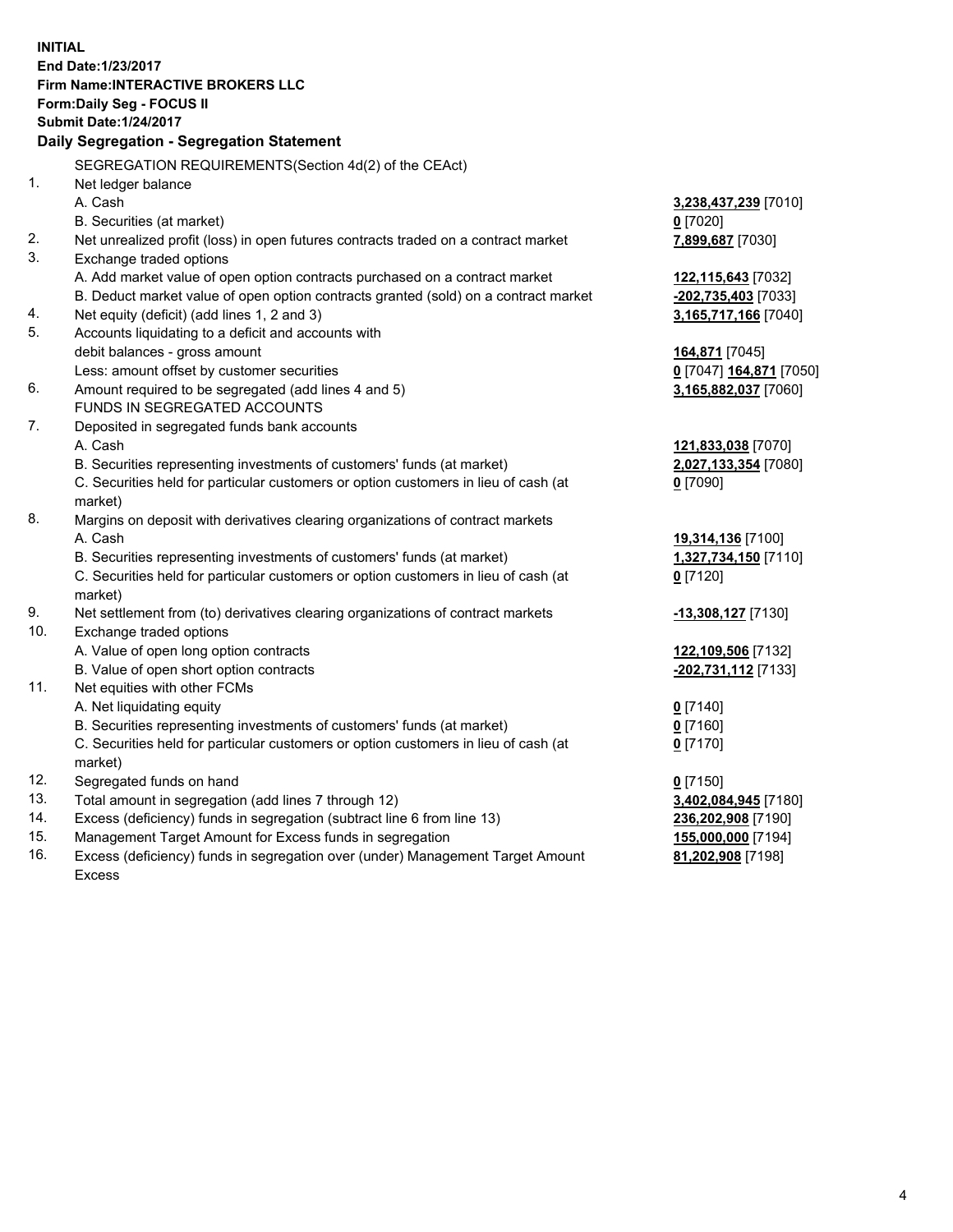**INITIAL End Date:1/23/2017 Firm Name:INTERACTIVE BROKERS LLC Form:Daily Seg - FOCUS II Submit Date:1/24/2017 Daily Segregation - Segregation Statement** SEGREGATION REQUIREMENTS(Section 4d(2) of the CEAct) 1. Net ledger balance A. Cash **3,238,437,239** [7010] B. Securities (at market) **0** [7020] 2. Net unrealized profit (loss) in open futures contracts traded on a contract market **7,899,687** [7030] 3. Exchange traded options A. Add market value of open option contracts purchased on a contract market **122,115,643** [7032] B. Deduct market value of open option contracts granted (sold) on a contract market **-202,735,403** [7033] 4. Net equity (deficit) (add lines 1, 2 and 3) **3,165,717,166** [7040] 5. Accounts liquidating to a deficit and accounts with debit balances - gross amount **164,871** [7045] Less: amount offset by customer securities **0** [7047] **164,871** [7050] 6. Amount required to be segregated (add lines 4 and 5) **3,165,882,037** [7060] FUNDS IN SEGREGATED ACCOUNTS 7. Deposited in segregated funds bank accounts A. Cash **121,833,038** [7070] B. Securities representing investments of customers' funds (at market) **2,027,133,354** [7080] C. Securities held for particular customers or option customers in lieu of cash (at market) **0** [7090] 8. Margins on deposit with derivatives clearing organizations of contract markets A. Cash **19,314,136** [7100] B. Securities representing investments of customers' funds (at market) **1,327,734,150** [7110] C. Securities held for particular customers or option customers in lieu of cash (at market) **0** [7120] 9. Net settlement from (to) derivatives clearing organizations of contract markets **-13,308,127** [7130] 10. Exchange traded options A. Value of open long option contracts **122,109,506** [7132] B. Value of open short option contracts **-202,731,112** [7133] 11. Net equities with other FCMs A. Net liquidating equity **0** [7140] B. Securities representing investments of customers' funds (at market) **0** [7160] C. Securities held for particular customers or option customers in lieu of cash (at market) **0** [7170] 12. Segregated funds on hand **0** [7150] 13. Total amount in segregation (add lines 7 through 12) **3,402,084,945** [7180] 14. Excess (deficiency) funds in segregation (subtract line 6 from line 13) **236,202,908** [7190] 15. Management Target Amount for Excess funds in segregation **155,000,000** [7194]

16. Excess (deficiency) funds in segregation over (under) Management Target Amount Excess

**81,202,908** [7198]